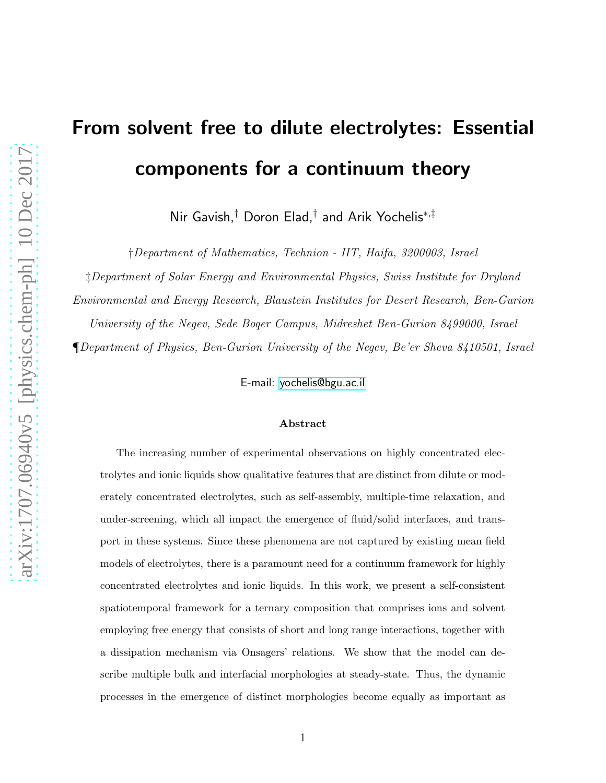# From solvent free to dilute electrolytes: Essential components for a continuum theory

Nir Gavish,† Doron Elad,† and Arik Yochelis<sup>∗</sup>,‡

†Department of Mathematics, Technion - IIT, Haifa, 3200003, Israel

‡Department of Solar Energy and Environmental Physics, Swiss Institute for Dryland

Environmental and Energy Research, Blaustein Institutes for Desert Research, Ben-Gurion

University of the Negev, Sede Boqer Campus, Midreshet Ben-Gurion 8499000, Israel

¶Department of Physics, Ben-Gurion University of the Negev, Be'er Sheva 8410501, Israel

E-mail:<yochelis@bgu.ac.il>

#### Abstract

The increasing number of experimental observations on highly concentrated electrolytes and ionic liquids show qualitative features that are distinct from dilute or moderately concentrated electrolytes, such as self-assembly, multiple-time relaxation, and under-screening, which all impact the emergence of fluid/solid interfaces, and transport in these systems. Since these phenomena are not captured by existing mean field models of electrolytes, there is a paramount need for a continuum framework for highly concentrated electrolytes and ionic liquids. In this work, we present a self-consistent spatiotemporal framework for a ternary composition that comprises ions and solvent employing free energy that consists of short and long range interactions, together with a dissipation mechanism via Onsagers' relations. We show that the model can describe multiple bulk and interfacial morphologies at steady-state. Thus, the dynamic processes in the emergence of distinct morphologies become equally as important as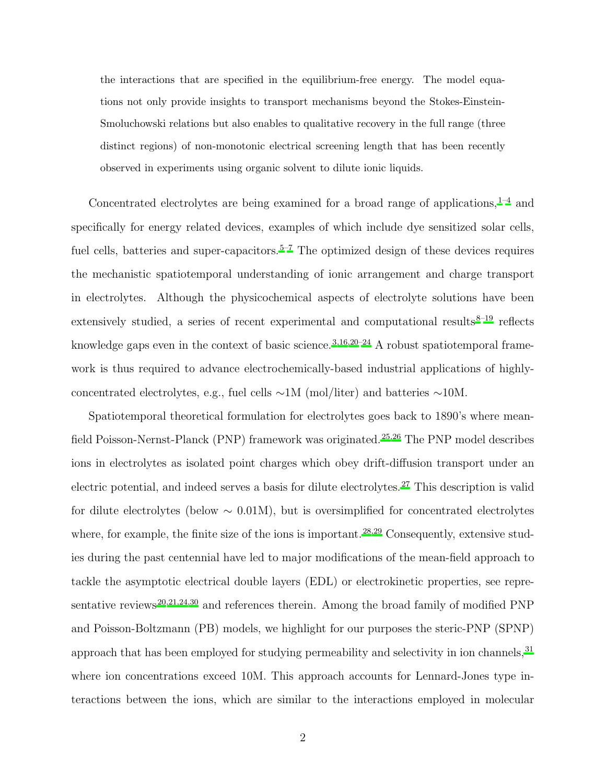the interactions that are specified in the equilibrium-free energy. The model equations not only provide insights to transport mechanisms beyond the Stokes-Einstein-Smoluchowski relations but also enables to qualitative recovery in the full range (three distinct regions) of non-monotonic electrical screening length that has been recently observed in experiments using organic solvent to dilute ionic liquids.

Concentrated electrolytes are being examined for a broad range of applications,  $1-4$  $1-4$  and specifically for energy related devices, examples of which include dye sensitized solar cells, fuel cells, batteries and super-capacitors.<sup>[5](#page-13-2)[–7](#page-13-3)</sup> The optimized design of these devices requires the mechanistic spatiotemporal understanding of ionic arrangement and charge transport in electrolytes. Although the physicochemical aspects of electrolyte solutions have been extensively studied, a series of recent experimental and computational results $8-19$  $8-19$  reflects knowledge gaps even in the context of basic science.<sup>[3](#page-13-5)[,16](#page-14-1)[,20](#page-14-2)[–24](#page-15-0)</sup> A robust spatiotemporal framework is thus required to advance electrochemically-based industrial applications of highlyconcentrated electrolytes, e.g., fuel cells ∼1M (mol/liter) and batteries ∼10M.

Spatiotemporal theoretical formulation for electrolytes goes back to 1890's where meanfield Poisson-Nernst-Planck (PNP) framework was originated.[25](#page-15-1)[,26](#page-15-2) The PNP model describes ions in electrolytes as isolated point charges which obey drift-diffusion transport under an electric potential, and indeed serves a basis for dilute electrolytes.<sup>[27](#page-15-3)</sup> This description is valid for dilute electrolytes (below  $\sim 0.01M$ ), but is oversimplified for concentrated electrolytes where, for example, the finite size of the ions is important.<sup>[28](#page-15-4)[,29](#page-15-5)</sup> Consequently, extensive studies during the past centennial have led to major modifications of the mean-field approach to tackle the asymptotic electrical double layers (EDL) or electrokinetic properties, see repre-sentative reviews<sup>[20](#page-14-2)[,21](#page-15-6)[,24](#page-15-0)[,30](#page-15-7)</sup> and references therein. Among the broad family of modified PNP and Poisson-Boltzmann (PB) models, we highlight for our purposes the steric-PNP (SPNP) approach that has been employed for studying permeability and selectivity in ion channels,  $31$ where ion concentrations exceed 10M. This approach accounts for Lennard-Jones type interactions between the ions, which are similar to the interactions employed in molecular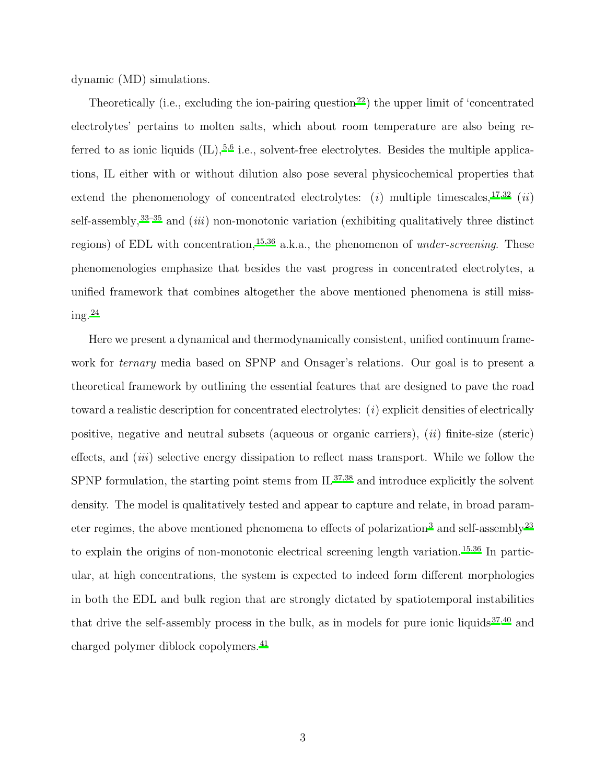dynamic (MD) simulations.

Theoretically (i.e., excluding the ion-pairing question<sup>[22](#page-15-9)</sup>) the upper limit of 'concentrated electrolytes' pertains to molten salts, which about room temperature are also being referred to as ionic liquids  $(IL),$ <sup>[5](#page-13-2)[,6](#page-13-6)</sup> i.e., solvent-free electrolytes. Besides the multiple applications, IL either with or without dilution also pose several physicochemical properties that extend the phenomenology of concentrated electrolytes: (i) multiple timescales,  $^{17,32}$  $^{17,32}$  $^{17,32}$  $^{17,32}$  (ii) self-assembly,  $33-35$  $33-35$  and *(iii)* non-monotonic variation (exhibiting qualitatively three distinct regions) of EDL with concentration,<sup>[15](#page-14-4)[,36](#page-16-3)</sup> a.k.a., the phenomenon of *under-screening*. These phenomenologies emphasize that besides the vast progress in concentrated electrolytes, a unified framework that combines altogether the above mentioned phenomena is still missing. $^{24}$  $^{24}$  $^{24}$ 

Here we present a dynamical and thermodynamically consistent, unified continuum framework for *ternary* media based on SPNP and Onsager's relations. Our goal is to present a theoretical framework by outlining the essential features that are designed to pave the road toward a realistic description for concentrated electrolytes:  $(i)$  explicit densities of electrically positive, negative and neutral subsets (aqueous or organic carriers),  $(ii)$  finite-size (steric) effects, and (iii) selective energy dissipation to reflect mass transport. While we follow the SPNP formulation, the starting point stems from  $IL^{37,38}$  $IL^{37,38}$  $IL^{37,38}$  $IL^{37,38}$  and introduce explicitly the solvent density. The model is qualitatively tested and appear to capture and relate, in broad param-eter regimes, the above mentioned phenomena to effects of polarization<sup>[3](#page-13-5)</sup> and self-assembly<sup>[23](#page-15-10)</sup> to explain the origins of non-monotonic electrical screening length variation.<sup>[15](#page-14-4)[,36](#page-16-3)</sup> In particular, at high concentrations, the system is expected to indeed form different morphologies in both the EDL and bulk region that are strongly dictated by spatiotemporal instabilities that drive the self-assembly process in the bulk, as in models for pure ionic liquids $37,40$  $37,40$  and charged polymer diblock copolymers.<sup>[41](#page-17-0)</sup>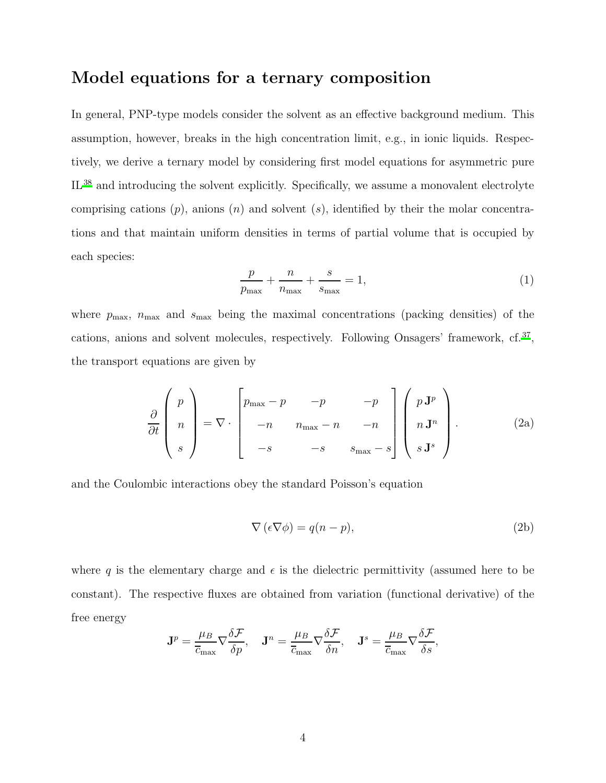#### Model equations for a ternary composition

In general, PNP-type models consider the solvent as an effective background medium. This assumption, however, breaks in the high concentration limit, e.g., in ionic liquids. Respectively, we derive a ternary model by considering first model equations for asymmetric pure IL[38](#page-16-5) and introducing the solvent explicitly. Specifically, we assume a monovalent electrolyte comprising cations  $(p)$ , anions  $(n)$  and solvent  $(s)$ , identified by their the molar concentrations and that maintain uniform densities in terms of partial volume that is occupied by each species:

<span id="page-3-1"></span><span id="page-3-0"></span>
$$
\frac{p}{p_{\text{max}}} + \frac{n}{n_{\text{max}}} + \frac{s}{s_{\text{max}}} = 1,\tag{1}
$$

where  $p_{\text{max}}$ ,  $n_{\text{max}}$  and  $s_{\text{max}}$  being the maximal concentrations (packing densities) of the cations, anions and solvent molecules, respectively. Following Onsagers' framework, cf.<sup>[37](#page-16-4)</sup>, the transport equations are given by

$$
\frac{\partial}{\partial t}\begin{pmatrix} p \\ n \\ s \end{pmatrix} = \nabla \cdot \begin{bmatrix} p_{\text{max}} - p & -p & -p \\ -n & n_{\text{max}} - n & -n \\ -s & -s & s_{\text{max}} - s \end{bmatrix} \begin{pmatrix} p \mathbf{J}^p \\ n \mathbf{J}^n \\ s \mathbf{J}^s \end{pmatrix}.
$$
 (2a)

and the Coulombic interactions obey the standard Poisson's equation

<span id="page-3-2"></span>
$$
\nabla (\epsilon \nabla \phi) = q(n - p), \tag{2b}
$$

where q is the elementary charge and  $\epsilon$  is the dielectric permittivity (assumed here to be constant). The respective fluxes are obtained from variation (functional derivative) of the free energy

$$
\mathbf{J}^p = \frac{\mu_B}{\overline{c}_{\text{max}}}\nabla \frac{\delta \mathcal{F}}{\delta p}, \quad \mathbf{J}^n = \frac{\mu_B}{\overline{c}_{\text{max}}}\nabla \frac{\delta \mathcal{F}}{\delta n}, \quad \mathbf{J}^s = \frac{\mu_B}{\overline{c}_{\text{max}}}\nabla \frac{\delta \mathcal{F}}{\delta s},
$$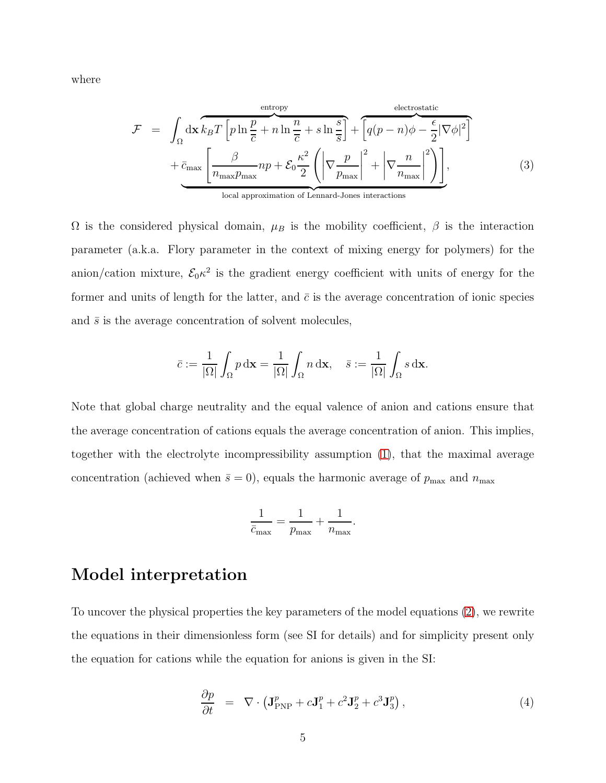where

$$
\mathcal{F} = \int_{\Omega} d\mathbf{x} k_B T \left[ p \ln \frac{p}{\overline{c}} + n \ln \frac{n}{\overline{c}} + s \ln \frac{s}{\overline{s}} \right] + \left[ q(p - n)\phi - \frac{\epsilon}{2} |\nabla \phi|^2 \right]
$$

$$
+ \bar{c}_{\text{max}} \left[ \frac{\beta}{n_{\text{max}} p_{\text{max}}} n p + \mathcal{E}_0 \frac{\kappa^2}{2} \left( \left| \nabla \frac{p}{p_{\text{max}}} \right|^2 + \left| \nabla \frac{n}{n_{\text{max}}} \right|^2 \right) \right],
$$
(3)  
local approximation of Lennard-Jones interactions

 $\Omega$  is the considered physical domain,  $\mu_B$  is the mobility coefficient,  $\beta$  is the interaction parameter (a.k.a. Flory parameter in the context of mixing energy for polymers) for the anion/cation mixture,  $\mathcal{E}_0 \kappa^2$  is the gradient energy coefficient with units of energy for the former and units of length for the latter, and  $\bar{c}$  is the average concentration of ionic species and  $\bar{s}$  is the average concentration of solvent molecules,

$$
\bar{c} := \frac{1}{|\Omega|} \int_{\Omega} p \, \mathrm{d} \mathbf{x} = \frac{1}{|\Omega|} \int_{\Omega} n \, \mathrm{d} \mathbf{x}, \quad \bar{s} := \frac{1}{|\Omega|} \int_{\Omega} s \, \mathrm{d} \mathbf{x}.
$$

Note that global charge neutrality and the equal valence of anion and cations ensure that the average concentration of cations equals the average concentration of anion. This implies, together with the electrolyte incompressibility assumption [\(1\)](#page-3-0), that the maximal average concentration (achieved when  $\bar{s} = 0$ ), equals the harmonic average of  $p_{\text{max}}$  and  $n_{\text{max}}$ 

$$
\frac{1}{\bar{c}_{\max}} = \frac{1}{p_{\max}} + \frac{1}{n_{\max}}.
$$

#### Model interpretation

To uncover the physical properties the key parameters of the model equations [\(2\)](#page-3-1), we rewrite the equations in their dimensionless form (see SI for details) and for simplicity present only the equation for cations while the equation for anions is given in the SI:

<span id="page-4-0"></span>
$$
\frac{\partial p}{\partial t} = \nabla \cdot \left( \mathbf{J}_{\text{PNP}}^p + c \mathbf{J}_1^p + c^2 \mathbf{J}_2^p + c^3 \mathbf{J}_3^p \right),\tag{4}
$$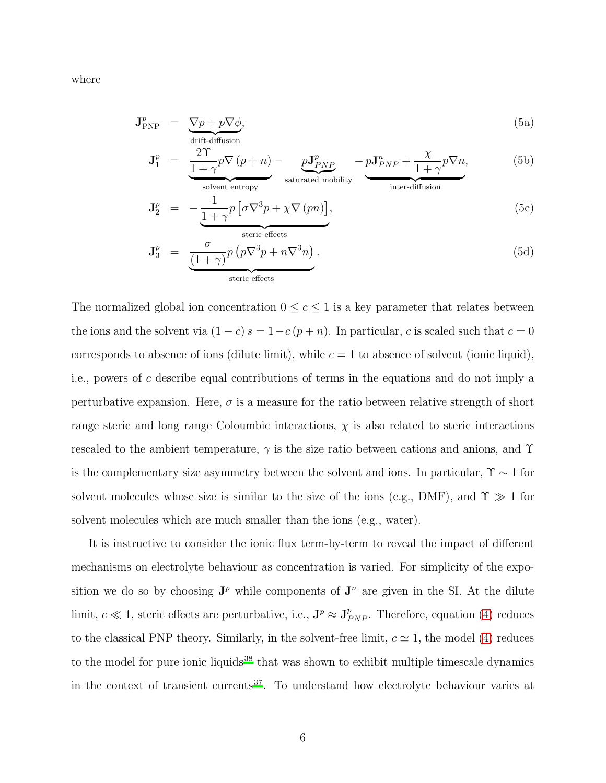where

<span id="page-5-0"></span>
$$
\mathbf{J}_{\text{PNP}}^p = \underbrace{\nabla p + p \nabla \phi}_{\text{drift-diffusion}},\tag{5a}
$$

$$
\mathbf{J}_{1}^{p} = \underbrace{\frac{2\Upsilon}{1+\gamma}p\nabla(p+n)}_{\text{solvent entropy}} - \underbrace{p\mathbf{J}_{PNP}^{p}}_{\text{saturated mobility}} - \underbrace{p\mathbf{J}_{PNP}^{n} + \frac{\chi}{1+\gamma}p\nabla n}_{\text{inter-diffusion}}, \tag{5b}
$$

solvent entropy  $\mathbf{J}_{2}^{p}$  =  $-$ 1  $1+\gamma$  $p\left[\sigma\nabla^3 p + \chi\nabla\left(pn\right)\right]$  $(5c)$ 

$$
\mathbf{J}_3^p = \underbrace{\frac{\sigma}{(1+\gamma)} p \left( p \nabla^3 p + n \nabla^3 n \right)}_{\text{steric effects}}.
$$
 (5d)

The normalized global ion concentration  $0 \leq c \leq 1$  is a key parameter that relates between the ions and the solvent via  $(1 - c) s = 1 - c (p + n)$ . In particular, c is scaled such that  $c = 0$ corresponds to absence of ions (dilute limit), while  $c = 1$  to absence of solvent (ionic liquid), i.e., powers of c describe equal contributions of terms in the equations and do not imply a perturbative expansion. Here,  $\sigma$  is a measure for the ratio between relative strength of short range steric and long range Coloumbic interactions,  $\chi$  is also related to steric interactions rescaled to the ambient temperature,  $\gamma$  is the size ratio between cations and anions, and  $\Upsilon$ is the complementary size asymmetry between the solvent and ions. In particular,  $\Upsilon \sim 1$  for solvent molecules whose size is similar to the size of the ions (e.g., DMF), and  $\Upsilon \gg 1$  for solvent molecules which are much smaller than the ions (e.g., water).

It is instructive to consider the ionic flux term-by-term to reveal the impact of different mechanisms on electrolyte behaviour as concentration is varied. For simplicity of the exposition we do so by choosing  $J^p$  while components of  $J^n$  are given in the SI. At the dilute limit,  $c \ll 1$ , steric effects are perturbative, i.e.,  $\mathbf{J}^p \approx \mathbf{J}_{PNP}^p$ . Therefore, equation [\(4\)](#page-4-0) reduces to the classical PNP theory. Similarly, in the solvent-free limit,  $c \approx 1$ , the model [\(4\)](#page-4-0) reduces to the model for pure ionic liquids<sup>[38](#page-16-5)</sup> that was shown to exhibit multiple timescale dynamics in the context of transient currents<sup>[37](#page-16-4)</sup>. To understand how electrolyte behaviour varies at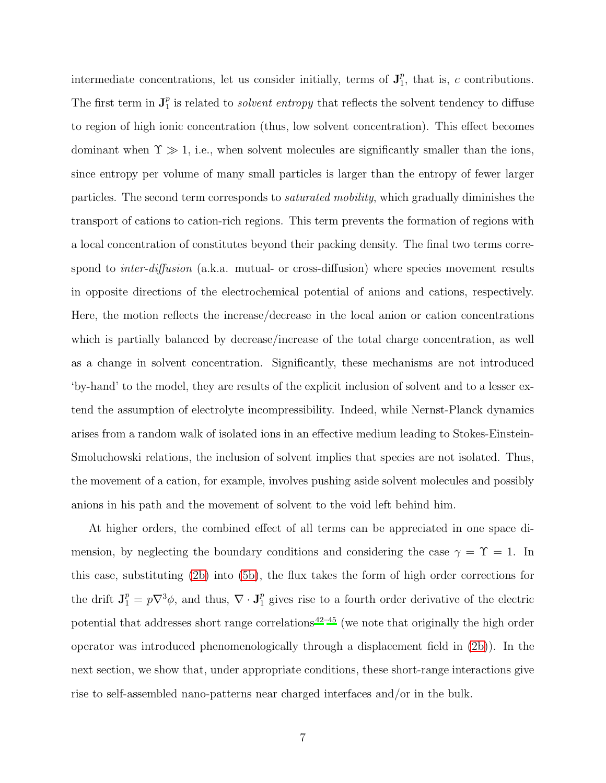intermediate concentrations, let us consider initially, terms of  $J_1^p$  $_1^p$ , that is, c contributions. The first term in  $J_1^p$  $\frac{p}{1}$  is related to *solvent entropy* that reflects the solvent tendency to diffuse to region of high ionic concentration (thus, low solvent concentration). This effect becomes dominant when  $\Upsilon \gg 1$ , i.e., when solvent molecules are significantly smaller than the ions, since entropy per volume of many small particles is larger than the entropy of fewer larger particles. The second term corresponds to saturated mobility, which gradually diminishes the transport of cations to cation-rich regions. This term prevents the formation of regions with a local concentration of constitutes beyond their packing density. The final two terms correspond to *inter-diffusion* (a.k.a. mutual- or cross-diffusion) where species movement results in opposite directions of the electrochemical potential of anions and cations, respectively. Here, the motion reflects the increase/decrease in the local anion or cation concentrations which is partially balanced by decrease/increase of the total charge concentration, as well as a change in solvent concentration. Significantly, these mechanisms are not introduced 'by-hand' to the model, they are results of the explicit inclusion of solvent and to a lesser extend the assumption of electrolyte incompressibility. Indeed, while Nernst-Planck dynamics arises from a random walk of isolated ions in an effective medium leading to Stokes-Einstein-Smoluchowski relations, the inclusion of solvent implies that species are not isolated. Thus, the movement of a cation, for example, involves pushing aside solvent molecules and possibly anions in his path and the movement of solvent to the void left behind him.

At higher orders, the combined effect of all terms can be appreciated in one space dimension, by neglecting the boundary conditions and considering the case  $\gamma = \Upsilon = 1$ . In this case, substituting [\(2b\)](#page-3-2) into [\(5b\)](#page-5-0), the flux takes the form of high order corrections for the drift  $J_1^p = p\nabla^3 \phi$ , and thus,  $\nabla \cdot J_1^p$  gives rise to a fourth order derivative of the electric potential that addresses short range correlations<sup> $42-45$  $42-45$ </sup> (we note that originally the high order operator was introduced phenomenologically through a displacement field in [\(2b\)](#page-3-2)). In the next section, we show that, under appropriate conditions, these short-range interactions give rise to self-assembled nano-patterns near charged interfaces and/or in the bulk.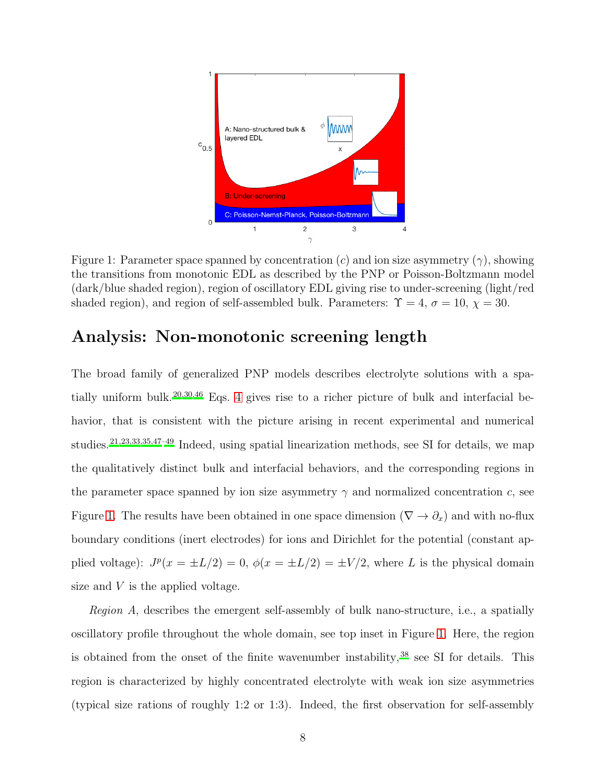<span id="page-7-0"></span>

Figure 1: Parameter space spanned by concentration (c) and ion size asymmetry  $(\gamma)$ , showing the transitions from monotonic EDL as described by the PNP or Poisson-Boltzmann model (dark/blue shaded region), region of oscillatory EDL giving rise to under-screening (light/red shaded region), and region of self-assembled bulk. Parameters:  $\Upsilon = 4$ ,  $\sigma = 10$ ,  $\chi = 30$ .

#### Analysis: Non-monotonic screening length

The broad family of generalized PNP models describes electrolyte solutions with a spa-tially uniform bulk.<sup>[20](#page-14-2)[,30](#page-15-7)[,46](#page-17-3)</sup> Eqs. [4](#page-4-0) gives rise to a richer picture of bulk and interfacial behavior, that is consistent with the picture arising in recent experimental and numerical studies.[21](#page-15-6)[,23](#page-15-10)[,33](#page-16-1)[,35](#page-16-2)[,47](#page-17-4)[–49](#page-17-5) Indeed, using spatial linearization methods, see SI for details, we map the qualitatively distinct bulk and interfacial behaviors, and the corresponding regions in the parameter space spanned by ion size asymmetry  $\gamma$  and normalized concentration c, see Figure [1.](#page-7-0) The results have been obtained in one space dimension ( $\nabla \to \partial_x$ ) and with no-flux boundary conditions (inert electrodes) for ions and Dirichlet for the potential (constant applied voltage):  $J^p(x = \pm L/2) = 0$ ,  $\phi(x = \pm L/2) = \pm V/2$ , where L is the physical domain size and  $V$  is the applied voltage.

Region A, describes the emergent self-assembly of bulk nano-structure, i.e., a spatially oscillatory profile throughout the whole domain, see top inset in Figure [1.](#page-7-0) Here, the region is obtained from the onset of the finite wavenumber instability,  $38$  see SI for details. This region is characterized by highly concentrated electrolyte with weak ion size asymmetries (typical size rations of roughly 1:2 or 1:3). Indeed, the first observation for self-assembly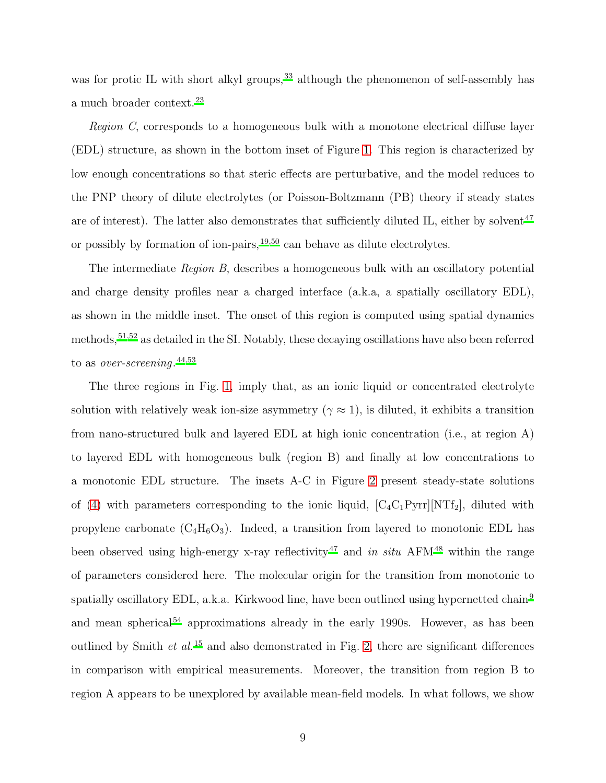was for protic IL with short alkyl groups,<sup>[33](#page-16-1)</sup> although the phenomenon of self-assembly has a much broader context.<sup>[23](#page-15-10)</sup>

Region C, corresponds to a homogeneous bulk with a monotone electrical diffuse layer (EDL) structure, as shown in the bottom inset of Figure [1.](#page-7-0) This region is characterized by low enough concentrations so that steric effects are perturbative, and the model reduces to the PNP theory of dilute electrolytes (or Poisson-Boltzmann (PB) theory if steady states are of interest). The latter also demonstrates that sufficiently diluted IL, either by solvent<sup>[47](#page-17-4)</sup> or possibly by formation of ion-pairs,[19](#page-14-0)[,50](#page-17-6) can behave as dilute electrolytes.

The intermediate Region B, describes a homogeneous bulk with an oscillatory potential and charge density profiles near a charged interface (a.k.a, a spatially oscillatory EDL), as shown in the middle inset. The onset of this region is computed using spatial dynamics methods,[51](#page-18-0)[,52](#page-18-1) as detailed in the SI. Notably, these decaying oscillations have also been referred to as *over-screening*.<sup>[44](#page-17-7)[,53](#page-18-2)</sup>

The three regions in Fig. [1,](#page-7-0) imply that, as an ionic liquid or concentrated electrolyte solution with relatively weak ion-size asymmetry ( $\gamma \approx 1$ ), is diluted, it exhibits a transition from nano-structured bulk and layered EDL at high ionic concentration (i.e., at region A) to layered EDL with homogeneous bulk (region B) and finally at low concentrations to a monotonic EDL structure. The insets A-C in Figure [2](#page-10-0) present steady-state solutions of [\(4\)](#page-4-0) with parameters corresponding to the ionic liquid,  $[C_4C_1P\text{yrr}][NTf_2]$ , diluted with propylene carbonate  $(C_4H_6O_3)$ . Indeed, a transition from layered to monotonic EDL has been observed using high-energy x-ray reflectivity<sup>[47](#page-17-4)</sup> and in situ AFM<sup>[48](#page-17-8)</sup> within the range of parameters considered here. The molecular origin for the transition from monotonic to spatially oscillatory EDL, a.k.a. Kirkwood line, have been outlined using hypernetted chain<sup>[9](#page-13-7)</sup> and mean spherical<sup>[54](#page-18-3)</sup> approximations already in the early 1990s. However, as has been outlined by Smith *et al.*<sup>[15](#page-14-4)</sup> and also demonstrated in Fig. [2,](#page-10-0) there are significant differences in comparison with empirical measurements. Moreover, the transition from region B to region A appears to be unexplored by available mean-field models. In what follows, we show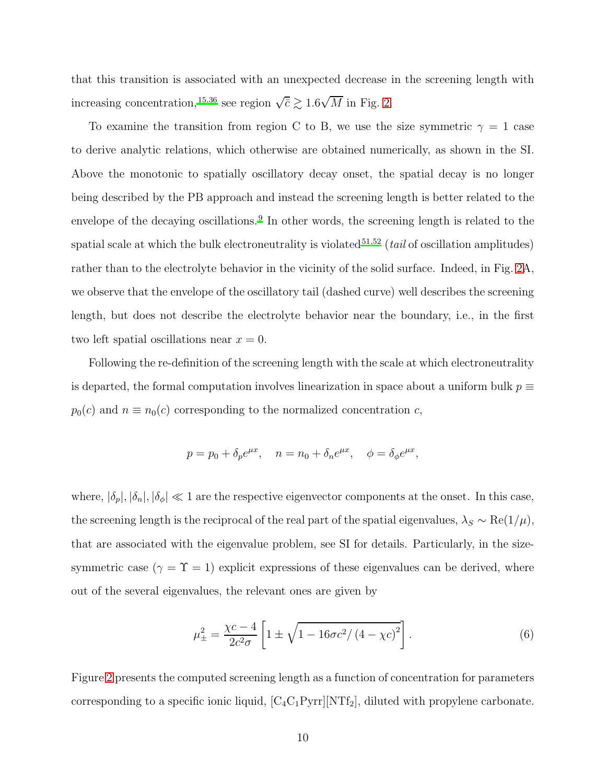that this transition is associated with an unexpected decrease in the screening length with increasing concentration,<sup>[15](#page-14-4)[,36](#page-16-3)</sup> see region  $\sqrt{\bar{c}} \gtrsim 1.6\sqrt{M}$  in Fig. [2.](#page-10-0)

To examine the transition from region C to B, we use the size symmetric  $\gamma = 1$  case to derive analytic relations, which otherwise are obtained numerically, as shown in the SI. Above the monotonic to spatially oscillatory decay onset, the spatial decay is no longer being described by the PB approach and instead the screening length is better related to the envelope of the decaying oscillations.<sup>[9](#page-13-7)</sup> In other words, the screening length is related to the spatial scale at which the bulk electroneutrality is violated<sup>[51](#page-18-0)[,52](#page-18-1)</sup> (tail of oscillation amplitudes) rather than to the electrolyte behavior in the vicinity of the solid surface. Indeed, in Fig. [2A](#page-10-0), we observe that the envelope of the oscillatory tail (dashed curve) well describes the screening length, but does not describe the electrolyte behavior near the boundary, i.e., in the first two left spatial oscillations near  $x = 0$ .

Following the re-definition of the screening length with the scale at which electroneutrality is departed, the formal computation involves linearization in space about a uniform bulk  $p \equiv$  $p_0(c)$  and  $n \equiv n_0(c)$  corresponding to the normalized concentration c,

$$
p = p_0 + \delta_p e^{\mu x}, \quad n = n_0 + \delta_n e^{\mu x}, \quad \phi = \delta_\phi e^{\mu x},
$$

where,  $|\delta_p|, |\delta_n|, |\delta_\phi| \ll 1$  are the respective eigenvector components at the onset. In this case, the screening length is the reciprocal of the real part of the spatial eigenvalues,  $\lambda_S \sim \text{Re}(1/\mu)$ , that are associated with the eigenvalue problem, see SI for details. Particularly, in the sizesymmetric case  $(\gamma = \Upsilon = 1)$  explicit expressions of these eigenvalues can be derived, where out of the several eigenvalues, the relevant ones are given by

<span id="page-9-0"></span>
$$
\mu_{\pm}^{2} = \frac{\chi c - 4}{2c^{2}\sigma} \left[ 1 \pm \sqrt{1 - 16\sigma c^{2}/\left(4 - \chi c\right)^{2}} \right].
$$
 (6)

Figure [2](#page-10-0) presents the computed screening length as a function of concentration for parameters corresponding to a specific ionic liquid,  $[C_4C_1P\text{yrr}][NTf_2]$ , diluted with propylene carbonate.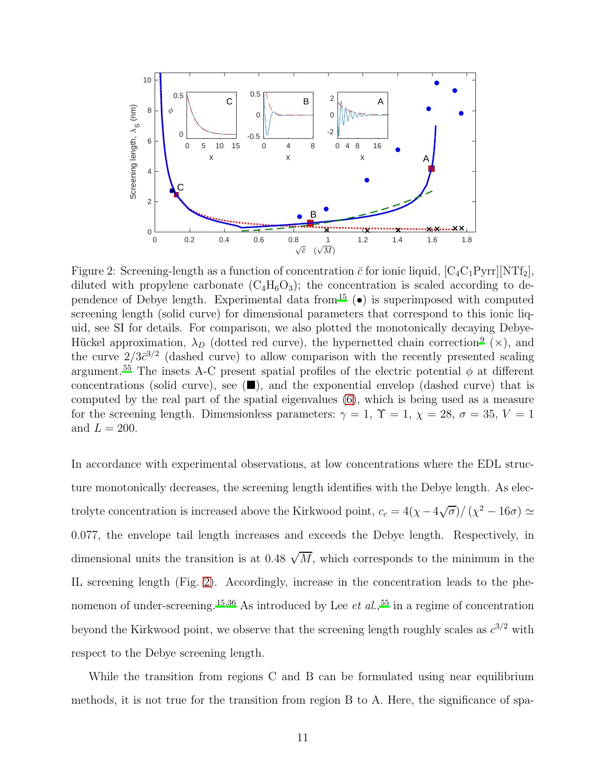<span id="page-10-0"></span>

Figure 2: Screening-length as a function of concentration  $\bar{c}$  for ionic liquid,  $[C_4C_1Pyrr][NTf_2]$ , diluted with propylene carbonate  $(C_4H_6O_3)$ ; the concentration is scaled according to dependence of Debye length. Experimental data from  $15$  ( $\bullet$ ) is superimposed with computed screening length (solid curve) for dimensional parameters that correspond to this ionic liquid, see SI for details. For comparison, we also plotted the monotonically decaying Debye-Hückel approximation,  $\lambda_D$  (dotted red curve), the hypernetted chain correction<sup>[9](#page-13-7)</sup> ( $\times$ ), and the curve  $2/3\bar{c}^{3/2}$  (dashed curve) to allow comparison with the recently presented scaling argument.<sup>[55](#page-18-4)</sup> The insets A-C present spatial profiles of the electric potential  $\phi$  at different concentrations (solid curve), see  $(\blacksquare)$ , and the exponential envelop (dashed curve) that is computed by the real part of the spatial eigenvalues [\(6\)](#page-9-0), which is being used as a measure for the screening length. Dimensionless parameters:  $\gamma = 1$ ,  $\Upsilon = 1$ ,  $\chi = 28$ ,  $\sigma = 35$ ,  $V = 1$ and  $L = 200$ .

In accordance with experimental observations, at low concentrations where the EDL structure monotonically decreases, the screening length identifies with the Debye length. As electrolyte concentration is increased above the Kirkwood point,  $c_c = 4(\chi - 4\sqrt{\sigma})/(\chi^2 - 16\sigma) \simeq$ 0.077, the envelope tail length increases and exceeds the Debye length. Respectively, in dimensional units the transition is at 0.48  $\sqrt{M}$ , which corresponds to the minimum in the IL screening length (Fig. [2\)](#page-10-0). Accordingly, increase in the concentration leads to the phe-nomenon of under-screening.<sup>[15](#page-14-4)[,36](#page-16-3)</sup> As introduced by Lee *et al.*,<sup>[55](#page-18-4)</sup> in a regime of concentration beyond the Kirkwood point, we observe that the screening length roughly scales as  $c^{3/2}$  with respect to the Debye screening length.

While the transition from regions C and B can be formulated using near equilibrium methods, it is not true for the transition from region B to A. Here, the significance of spa-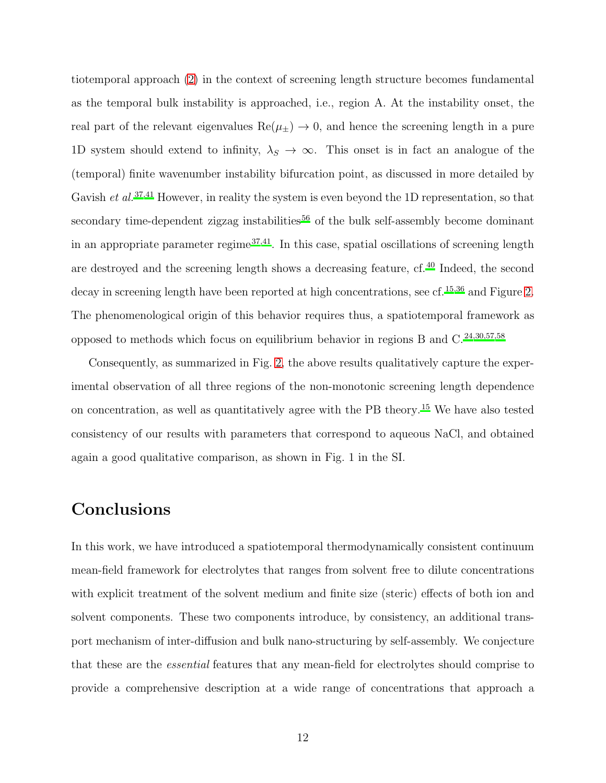tiotemporal approach [\(2\)](#page-3-1) in the context of screening length structure becomes fundamental as the temporal bulk instability is approached, i.e., region A. At the instability onset, the real part of the relevant eigenvalues  $\text{Re}(\mu_{\pm}) \rightarrow 0$ , and hence the screening length in a pure 1D system should extend to infinity,  $\lambda_s \to \infty$ . This onset is in fact an analogue of the (temporal) finite wavenumber instability bifurcation point, as discussed in more detailed by Gavish et  $al.^{37,41}$  $al.^{37,41}$  $al.^{37,41}$  $al.^{37,41}$  However, in reality the system is even beyond the 1D representation, so that secondary time-dependent zigzag instabilities<sup>[56](#page-18-5)</sup> of the bulk self-assembly become dominant in an appropriate parameter regime<sup>[37](#page-16-4)[,41](#page-17-0)</sup>. In this case, spatial oscillations of screening length are destroyed and the screening length shows a decreasing feature, cf.[40](#page-16-6) Indeed, the second decay in screening length have been reported at high concentrations, see cf.<sup>[15](#page-14-4)[,36](#page-16-3)</sup> and Figure [2.](#page-10-0) The phenomenological origin of this behavior requires thus, a spatiotemporal framework as opposed to methods which focus on equilibrium behavior in regions B and C.[24](#page-15-0)[,30](#page-15-7)[,57](#page-18-6)[,58](#page-18-7)

Consequently, as summarized in Fig. [2,](#page-10-0) the above results qualitatively capture the experimental observation of all three regions of the non-monotonic screening length dependence on concentration, as well as quantitatively agree with the PB theory.[15](#page-14-4) We have also tested consistency of our results with parameters that correspond to aqueous NaCl, and obtained again a good qualitative comparison, as shown in Fig. 1 in the SI.

## **Conclusions**

In this work, we have introduced a spatiotemporal thermodynamically consistent continuum mean-field framework for electrolytes that ranges from solvent free to dilute concentrations with explicit treatment of the solvent medium and finite size (steric) effects of both ion and solvent components. These two components introduce, by consistency, an additional transport mechanism of inter-diffusion and bulk nano-structuring by self-assembly. We conjecture that these are the essential features that any mean-field for electrolytes should comprise to provide a comprehensive description at a wide range of concentrations that approach a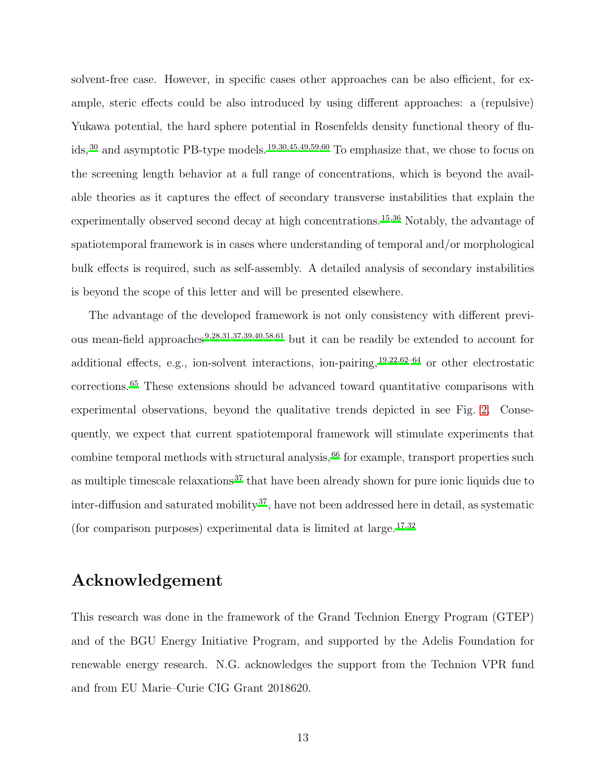solvent-free case. However, in specific cases other approaches can be also efficient, for example, steric effects could be also introduced by using different approaches: a (repulsive) Yukawa potential, the hard sphere potential in Rosenfelds density functional theory of flu-ids,<sup>[30](#page-15-7)</sup> and asymptotic PB-type models.<sup>[19](#page-14-0)[,30](#page-15-7)[,45](#page-17-2)[,49](#page-17-5)[,59](#page-18-8)[,60](#page-19-0)</sup> To emphasize that, we chose to focus on the screening length behavior at a full range of concentrations, which is beyond the available theories as it captures the effect of secondary transverse instabilities that explain the experimentally observed second decay at high concentrations.[15](#page-14-4)[,36](#page-16-3) Notably, the advantage of spatiotemporal framework is in cases where understanding of temporal and/or morphological bulk effects is required, such as self-assembly. A detailed analysis of secondary instabilities is beyond the scope of this letter and will be presented elsewhere.

The advantage of the developed framework is not only consistency with different previ-ous mean-field approaches<sup>[9](#page-13-7)[,28](#page-15-4)[,31](#page-15-8)[,37](#page-16-4)[,39](#page-16-7)[,40](#page-16-6)[,58](#page-18-7)[,61](#page-19-1)</sup> but it can be readily be extended to account for additional effects, e.g., ion-solvent interactions, ion-pairing,  $19,22,62-64$  $19,22,62-64$  $19,22,62-64$  $19,22,62-64$  or other electrostatic corrections.[65](#page-19-4) These extensions should be advanced toward quantitative comparisons with experimental observations, beyond the qualitative trends depicted in see Fig. [2.](#page-10-0) Consequently, we expect that current spatiotemporal framework will stimulate experiments that combine temporal methods with structural analysis,  $66$  for example, transport properties such as multiple timescale relaxations<sup>[37](#page-16-4)</sup> that have been already shown for pure ionic liquids due to inter-diffusion and saturated mobility<sup>[37](#page-16-4)</sup>, have not been addressed here in detail, as systematic (for comparison purposes) experimental data is limited at large.<sup>[17](#page-14-3)[,32](#page-16-0)</sup>

#### Acknowledgement

This research was done in the framework of the Grand Technion Energy Program (GTEP) and of the BGU Energy Initiative Program, and supported by the Adelis Foundation for renewable energy research. N.G. acknowledges the support from the Technion VPR fund and from EU Marie–Curie CIG Grant 2018620.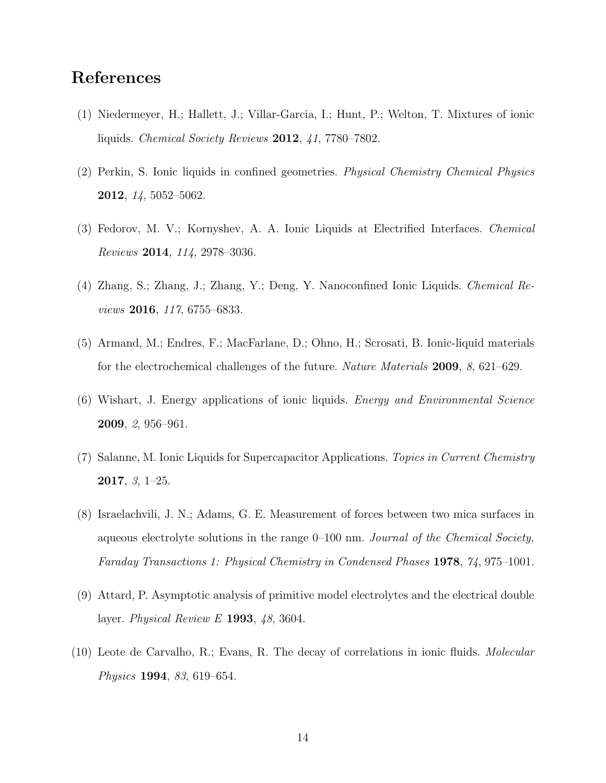### References

- <span id="page-13-0"></span>(1) Niedermeyer, H.; Hallett, J.; Villar-Garcia, I.; Hunt, P.; Welton, T. Mixtures of ionic liquids. Chemical Society Reviews 2012, 41, 7780–7802.
- (2) Perkin, S. Ionic liquids in confined geometries. Physical Chemistry Chemical Physics 2012, 14, 5052–5062.
- <span id="page-13-5"></span>(3) Fedorov, M. V.; Kornyshev, A. A. Ionic Liquids at Electrified Interfaces. Chemical Reviews 2014, 114, 2978–3036.
- <span id="page-13-1"></span>(4) Zhang, S.; Zhang, J.; Zhang, Y.; Deng, Y. Nanoconfined Ionic Liquids. Chemical Reviews 2016, 117, 6755–6833.
- <span id="page-13-2"></span>(5) Armand, M.; Endres, F.; MacFarlane, D.; Ohno, H.; Scrosati, B. Ionic-liquid materials for the electrochemical challenges of the future. Nature Materials 2009, 8, 621–629.
- <span id="page-13-6"></span>(6) Wishart, J. Energy applications of ionic liquids. Energy and Environmental Science 2009, 2, 956–961.
- <span id="page-13-3"></span>(7) Salanne, M. Ionic Liquids for Supercapacitor Applications. Topics in Current Chemistry 2017, 3, 1–25.
- <span id="page-13-4"></span>(8) Israelachvili, J. N.; Adams, G. E. Measurement of forces between two mica surfaces in aqueous electrolyte solutions in the range 0–100 nm. Journal of the Chemical Society, Faraday Transactions 1: Physical Chemistry in Condensed Phases 1978, 74, 975–1001.
- <span id="page-13-7"></span>(9) Attard, P. Asymptotic analysis of primitive model electrolytes and the electrical double layer. Physical Review E 1993, 48, 3604.
- (10) Leote de Carvalho, R.; Evans, R. The decay of correlations in ionic fluids. Molecular Physics 1994, 83, 619–654.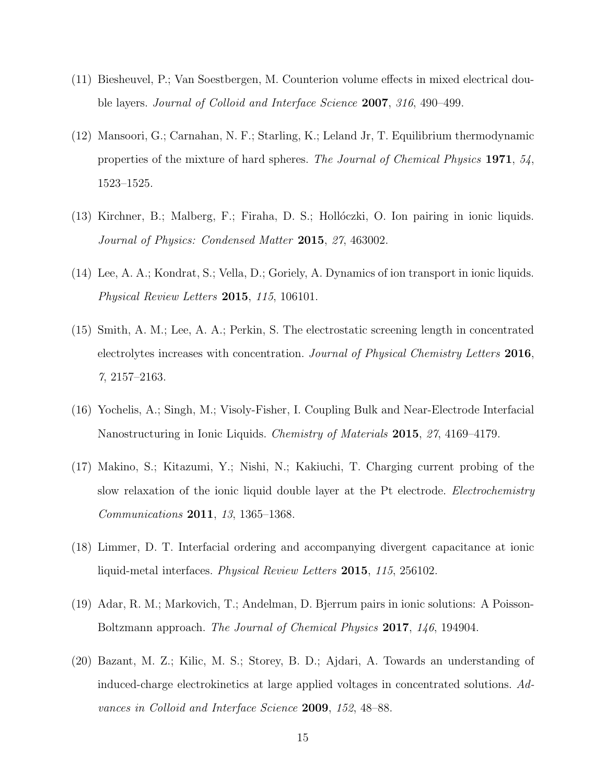- (11) Biesheuvel, P.; Van Soestbergen, M. Counterion volume effects in mixed electrical double layers. Journal of Colloid and Interface Science 2007, 316, 490–499.
- (12) Mansoori, G.; Carnahan, N. F.; Starling, K.; Leland Jr, T. Equilibrium thermodynamic properties of the mixture of hard spheres. The Journal of Chemical Physics 1971, 54, 1523–1525.
- (13) Kirchner, B.; Malberg, F.; Firaha, D. S.; Hollóczki, O. Ion pairing in ionic liquids. Journal of Physics: Condensed Matter 2015, 27, 463002.
- (14) Lee, A. A.; Kondrat, S.; Vella, D.; Goriely, A. Dynamics of ion transport in ionic liquids. Physical Review Letters 2015, 115, 106101.
- <span id="page-14-4"></span>(15) Smith, A. M.; Lee, A. A.; Perkin, S. The electrostatic screening length in concentrated electrolytes increases with concentration. Journal of Physical Chemistry Letters 2016, 7, 2157–2163.
- <span id="page-14-1"></span>(16) Yochelis, A.; Singh, M.; Visoly-Fisher, I. Coupling Bulk and Near-Electrode Interfacial Nanostructuring in Ionic Liquids. Chemistry of Materials 2015, 27, 4169–4179.
- <span id="page-14-3"></span>(17) Makino, S.; Kitazumi, Y.; Nishi, N.; Kakiuchi, T. Charging current probing of the slow relaxation of the ionic liquid double layer at the Pt electrode. *Electrochemistry* Communications 2011, 13, 1365–1368.
- (18) Limmer, D. T. Interfacial ordering and accompanying divergent capacitance at ionic liquid-metal interfaces. Physical Review Letters 2015, 115, 256102.
- <span id="page-14-0"></span>(19) Adar, R. M.; Markovich, T.; Andelman, D. Bjerrum pairs in ionic solutions: A Poisson-Boltzmann approach. The Journal of Chemical Physics 2017, 146, 194904.
- <span id="page-14-2"></span>(20) Bazant, M. Z.; Kilic, M. S.; Storey, B. D.; Ajdari, A. Towards an understanding of induced-charge electrokinetics at large applied voltages in concentrated solutions. Advances in Colloid and Interface Science 2009, 152, 48–88.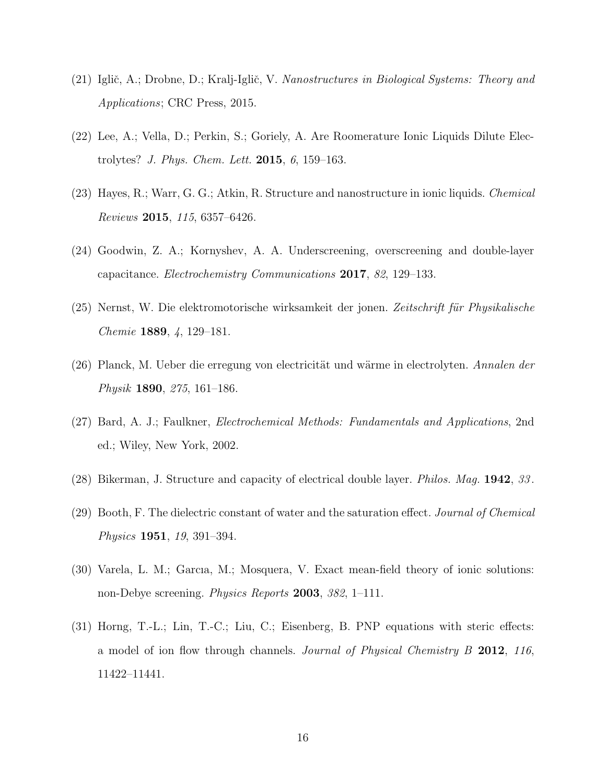- <span id="page-15-6"></span>(21) Iglič, A.; Drobne, D.; Kralj-Iglič, V. Nanostructures in Biological Systems: Theory and Applications; CRC Press, 2015.
- <span id="page-15-9"></span>(22) Lee, A.; Vella, D.; Perkin, S.; Goriely, A. Are Roomerature Ionic Liquids Dilute Electrolytes? J. Phys. Chem. Lett. 2015, 6, 159–163.
- <span id="page-15-10"></span>(23) Hayes, R.; Warr, G. G.; Atkin, R. Structure and nanostructure in ionic liquids. Chemical Reviews 2015, 115, 6357–6426.
- <span id="page-15-0"></span>(24) Goodwin, Z. A.; Kornyshev, A. A. Underscreening, overscreening and double-layer capacitance. Electrochemistry Communications 2017, 82, 129–133.
- <span id="page-15-1"></span>(25) Nernst, W. Die elektromotorische wirksamkeit der jonen. Zeitschrift für Physikalische Chemie 1889, 4, 129–181.
- <span id="page-15-2"></span>(26) Planck, M. Ueber die erregung von electricität und wärme in electrolyten. Annalen der Physik 1890, 275, 161–186.
- <span id="page-15-3"></span>(27) Bard, A. J.; Faulkner, Electrochemical Methods: Fundamentals and Applications, 2nd ed.; Wiley, New York, 2002.
- <span id="page-15-4"></span>(28) Bikerman, J. Structure and capacity of electrical double layer. Philos. Mag. 1942, 33 .
- <span id="page-15-5"></span>(29) Booth, F. The dielectric constant of water and the saturation effect. Journal of Chemical Physics **1951**, 19, 391-394.
- <span id="page-15-7"></span>(30) Varela, L. M.; Garcıa, M.; Mosquera, V. Exact mean-field theory of ionic solutions: non-Debye screening. Physics Reports 2003, 382, 1–111.
- <span id="page-15-8"></span>(31) Horng, T.-L.; Lin, T.-C.; Liu, C.; Eisenberg, B. PNP equations with steric effects: a model of ion flow through channels. Journal of Physical Chemistry B 2012, 116, 11422–11441.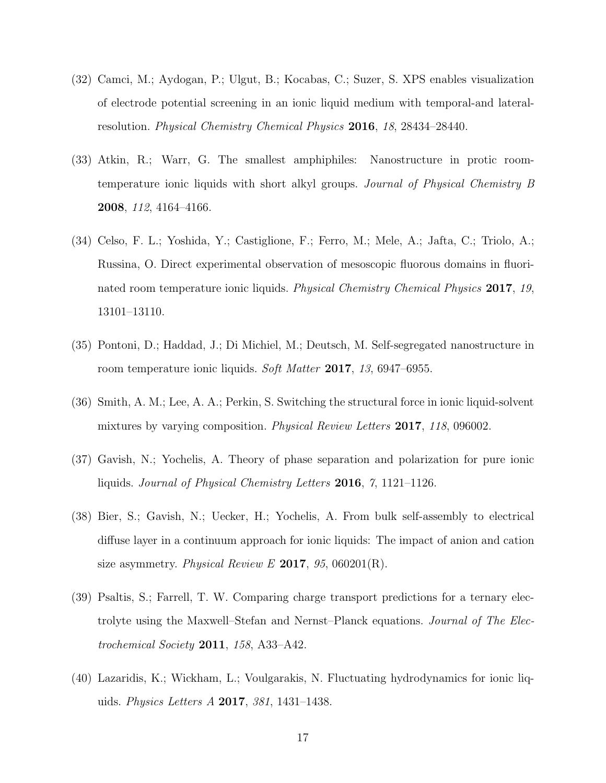- <span id="page-16-0"></span>(32) Camci, M.; Aydogan, P.; Ulgut, B.; Kocabas, C.; Suzer, S. XPS enables visualization of electrode potential screening in an ionic liquid medium with temporal-and lateralresolution. Physical Chemistry Chemical Physics 2016, 18, 28434–28440.
- <span id="page-16-1"></span>(33) Atkin, R.; Warr, G. The smallest amphiphiles: Nanostructure in protic roomtemperature ionic liquids with short alkyl groups. Journal of Physical Chemistry B 2008, 112, 4164–4166.
- (34) Celso, F. L.; Yoshida, Y.; Castiglione, F.; Ferro, M.; Mele, A.; Jafta, C.; Triolo, A.; Russina, O. Direct experimental observation of mesoscopic fluorous domains in fluorinated room temperature ionic liquids. Physical Chemistry Chemical Physics 2017, 19, 13101–13110.
- <span id="page-16-2"></span>(35) Pontoni, D.; Haddad, J.; Di Michiel, M.; Deutsch, M. Self-segregated nanostructure in room temperature ionic liquids. Soft Matter 2017, 13, 6947–6955.
- <span id="page-16-3"></span>(36) Smith, A. M.; Lee, A. A.; Perkin, S. Switching the structural force in ionic liquid-solvent mixtures by varying composition. *Physical Review Letters* 2017, 118, 096002.
- <span id="page-16-4"></span>(37) Gavish, N.; Yochelis, A. Theory of phase separation and polarization for pure ionic liquids. Journal of Physical Chemistry Letters 2016, 7, 1121–1126.
- <span id="page-16-5"></span>(38) Bier, S.; Gavish, N.; Uecker, H.; Yochelis, A. From bulk self-assembly to electrical diffuse layer in a continuum approach for ionic liquids: The impact of anion and cation size asymmetry. *Physical Review E* 2017, 95, 060201(R).
- <span id="page-16-7"></span>(39) Psaltis, S.; Farrell, T. W. Comparing charge transport predictions for a ternary electrolyte using the Maxwell–Stefan and Nernst–Planck equations. Journal of The Electrochemical Society 2011, 158, A33–A42.
- <span id="page-16-6"></span>(40) Lazaridis, K.; Wickham, L.; Voulgarakis, N. Fluctuating hydrodynamics for ionic liquids. Physics Letters A 2017, 381, 1431–1438.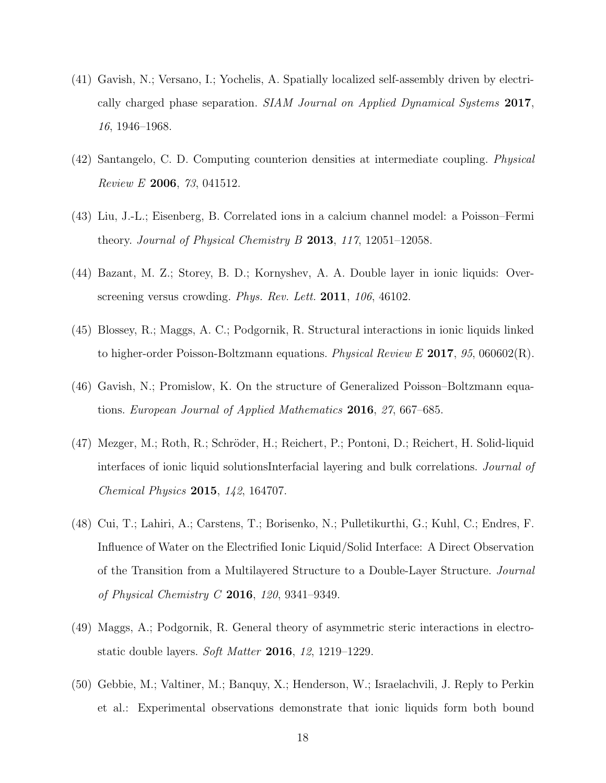- <span id="page-17-0"></span>(41) Gavish, N.; Versano, I.; Yochelis, A. Spatially localized self-assembly driven by electrically charged phase separation. SIAM Journal on Applied Dynamical Systems 2017, 16, 1946–1968.
- <span id="page-17-1"></span>(42) Santangelo, C. D. Computing counterion densities at intermediate coupling. Physical Review E 2006, 73, 041512.
- (43) Liu, J.-L.; Eisenberg, B. Correlated ions in a calcium channel model: a Poisson–Fermi theory. Journal of Physical Chemistry B 2013, 117, 12051–12058.
- <span id="page-17-7"></span>(44) Bazant, M. Z.; Storey, B. D.; Kornyshev, A. A. Double layer in ionic liquids: Overscreening versus crowding. *Phys. Rev. Lett.* **2011**, 106, 46102.
- <span id="page-17-2"></span>(45) Blossey, R.; Maggs, A. C.; Podgornik, R. Structural interactions in ionic liquids linked to higher-order Poisson-Boltzmann equations. Physical Review E 2017, 95, 060602(R).
- <span id="page-17-3"></span>(46) Gavish, N.; Promislow, K. On the structure of Generalized Poisson–Boltzmann equations. European Journal of Applied Mathematics 2016, 27, 667–685.
- <span id="page-17-4"></span>(47) Mezger, M.; Roth, R.; Schröder, H.; Reichert, P.; Pontoni, D.; Reichert, H. Solid-liquid interfaces of ionic liquid solutionsInterfacial layering and bulk correlations. Journal of Chemical Physics 2015, 142, 164707.
- <span id="page-17-8"></span>(48) Cui, T.; Lahiri, A.; Carstens, T.; Borisenko, N.; Pulletikurthi, G.; Kuhl, C.; Endres, F. Influence of Water on the Electrified Ionic Liquid/Solid Interface: A Direct Observation of the Transition from a Multilayered Structure to a Double-Layer Structure. Journal of Physical Chemistry C 2016, 120, 9341–9349.
- <span id="page-17-5"></span>(49) Maggs, A.; Podgornik, R. General theory of asymmetric steric interactions in electrostatic double layers. Soft Matter 2016, 12, 1219–1229.
- <span id="page-17-6"></span>(50) Gebbie, M.; Valtiner, M.; Banquy, X.; Henderson, W.; Israelachvili, J. Reply to Perkin et al.: Experimental observations demonstrate that ionic liquids form both bound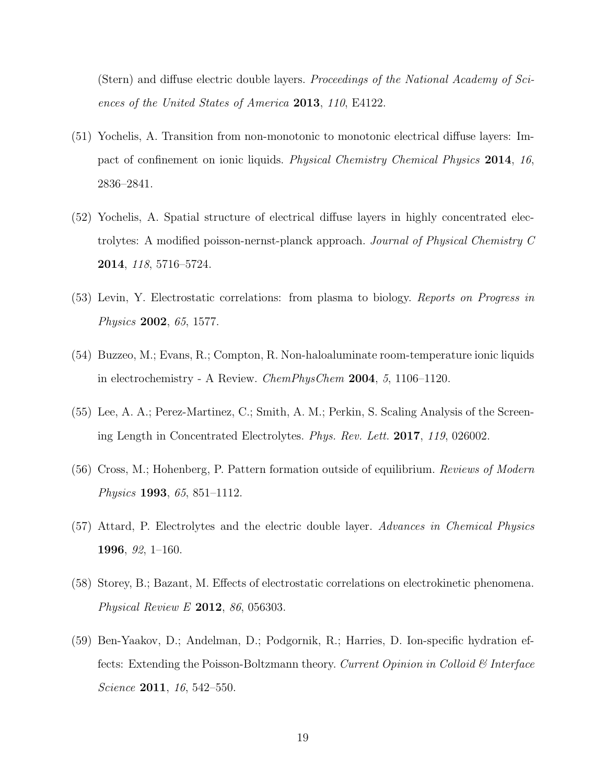(Stern) and diffuse electric double layers. Proceedings of the National Academy of Sciences of the United States of America 2013, 110, E4122.

- <span id="page-18-0"></span>(51) Yochelis, A. Transition from non-monotonic to monotonic electrical diffuse layers: Impact of confinement on ionic liquids. Physical Chemistry Chemical Physics 2014, 16, 2836–2841.
- <span id="page-18-1"></span>(52) Yochelis, A. Spatial structure of electrical diffuse layers in highly concentrated electrolytes: A modified poisson-nernst-planck approach. Journal of Physical Chemistry C 2014, 118, 5716–5724.
- <span id="page-18-2"></span>(53) Levin, Y. Electrostatic correlations: from plasma to biology. Reports on Progress in Physics 2002, 65, 1577.
- <span id="page-18-3"></span>(54) Buzzeo, M.; Evans, R.; Compton, R. Non-haloaluminate room-temperature ionic liquids in electrochemistry - A Review. ChemPhysChem 2004, 5, 1106–1120.
- <span id="page-18-4"></span>(55) Lee, A. A.; Perez-Martinez, C.; Smith, A. M.; Perkin, S. Scaling Analysis of the Screening Length in Concentrated Electrolytes. Phys. Rev. Lett. 2017, 119, 026002.
- <span id="page-18-5"></span>(56) Cross, M.; Hohenberg, P. Pattern formation outside of equilibrium. Reviews of Modern Physics 1993, 65, 851–1112.
- <span id="page-18-6"></span>(57) Attard, P. Electrolytes and the electric double layer. Advances in Chemical Physics 1996, 92, 1–160.
- <span id="page-18-7"></span>(58) Storey, B.; Bazant, M. Effects of electrostatic correlations on electrokinetic phenomena. Physical Review E 2012, 86, 056303.
- <span id="page-18-8"></span>(59) Ben-Yaakov, D.; Andelman, D.; Podgornik, R.; Harries, D. Ion-specific hydration effects: Extending the Poisson-Boltzmann theory. Current Opinion in Colloid & Interface Science **2011**, 16, 542–550.